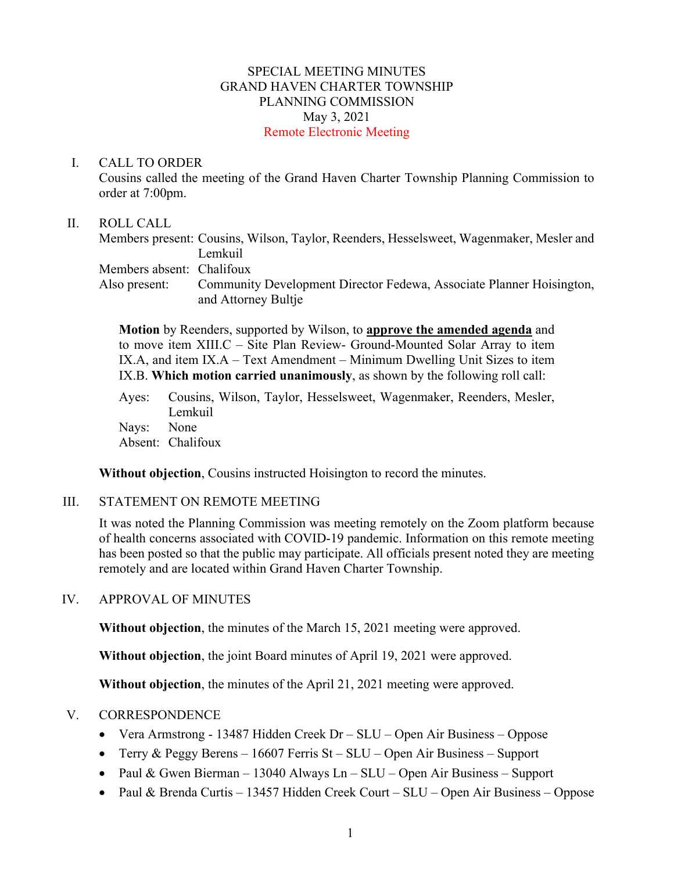#### SPECIAL MEETING MINUTES GRAND HAVEN CHARTER TOWNSHIP PLANNING COMMISSION May 3, 2021 Remote Electronic Meeting

#### I. CALL TO ORDER

Cousins called the meeting of the Grand Haven Charter Township Planning Commission to order at 7:00pm.

#### II. ROLL CALL

Members present: Cousins, Wilson, Taylor, Reenders, Hesselsweet, Wagenmaker, Mesler and Lemkuil Members absent: Chalifoux Also present: Community Development Director Fedewa, Associate Planner Hoisington, and Attorney Bultje

**Motion** by Reenders, supported by Wilson, to **approve the amended agenda** and to move item XIII.C – Site Plan Review- Ground-Mounted Solar Array to item IX.A, and item IX.A – Text Amendment – Minimum Dwelling Unit Sizes to item IX.B. **Which motion carried unanimously**, as shown by the following roll call:

Ayes: Cousins, Wilson, Taylor, Hesselsweet, Wagenmaker, Reenders, Mesler, Lemkuil Nays: None Absent: Chalifoux

**Without objection**, Cousins instructed Hoisington to record the minutes.

#### III. STATEMENT ON REMOTE MEETING

It was noted the Planning Commission was meeting remotely on the Zoom platform because of health concerns associated with COVID-19 pandemic. Information on this remote meeting has been posted so that the public may participate. All officials present noted they are meeting remotely and are located within Grand Haven Charter Township.

#### IV. APPROVAL OF MINUTES

**Without objection**, the minutes of the March 15, 2021 meeting were approved.

**Without objection**, the joint Board minutes of April 19, 2021 were approved.

**Without objection**, the minutes of the April 21, 2021 meeting were approved.

#### V. CORRESPONDENCE

- Vera Armstrong 13487 Hidden Creek Dr SLU Open Air Business Oppose
- Terry & Peggy Berens 16607 Ferris St SLU Open Air Business Support
- Paul & Gwen Bierman 13040 Always Ln SLU Open Air Business Support
- Paul & Brenda Curtis 13457 Hidden Creek Court SLU Open Air Business Oppose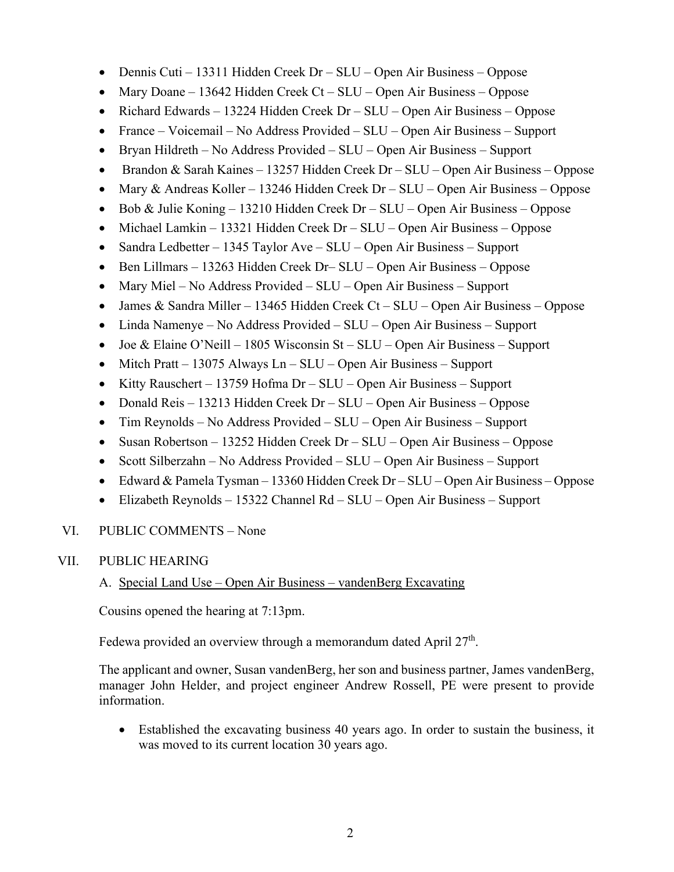- Dennis Cuti 13311 Hidden Creek Dr SLU Open Air Business Oppose
- Mary Doane 13642 Hidden Creek Ct SLU Open Air Business Oppose
- Richard Edwards 13224 Hidden Creek Dr SLU Open Air Business Oppose
- France Voicemail No Address Provided SLU Open Air Business Support
- Bryan Hildreth No Address Provided SLU Open Air Business Support
- Brandon & Sarah Kaines 13257 Hidden Creek Dr SLU Open Air Business Oppose
- Mary & Andreas Koller 13246 Hidden Creek Dr SLU Open Air Business Oppose
- Bob & Julie Koning 13210 Hidden Creek Dr SLU Open Air Business Oppose
- Michael Lamkin 13321 Hidden Creek Dr SLU Open Air Business Oppose
- Sandra Ledbetter 1345 Taylor Ave SLU Open Air Business Support
- Ben Lillmars 13263 Hidden Creek Dr– SLU Open Air Business Oppose
- Mary Miel No Address Provided SLU Open Air Business Support
- James & Sandra Miller 13465 Hidden Creek Ct SLU Open Air Business Oppose
- Linda Namenye No Address Provided SLU Open Air Business Support
- Joe & Elaine O'Neill 1805 Wisconsin St SLU Open Air Business Support
- Mitch Pratt 13075 Always Ln SLU Open Air Business Support
- Kitty Rauschert 13759 Hofma Dr SLU Open Air Business Support
- Donald Reis 13213 Hidden Creek Dr SLU Open Air Business Oppose
- Tim Reynolds No Address Provided SLU Open Air Business Support
- Susan Robertson 13252 Hidden Creek Dr SLU Open Air Business Oppose
- Scott Silberzahn No Address Provided SLU Open Air Business Support
- Edward & Pamela Tysman 13360 Hidden Creek Dr SLU Open Air Business Oppose
- Elizabeth Reynolds 15322 Channel Rd SLU Open Air Business Support

## VI. PUBLIC COMMENTS – None

## VII. PUBLIC HEARING

## A. Special Land Use – Open Air Business – vandenBerg Excavating

Cousins opened the hearing at 7:13pm.

Fedewa provided an overview through a memorandum dated April  $27<sup>th</sup>$ .

The applicant and owner, Susan vandenBerg, her son and business partner, James vandenBerg, manager John Helder, and project engineer Andrew Rossell, PE were present to provide information.

• Established the excavating business 40 years ago. In order to sustain the business, it was moved to its current location 30 years ago.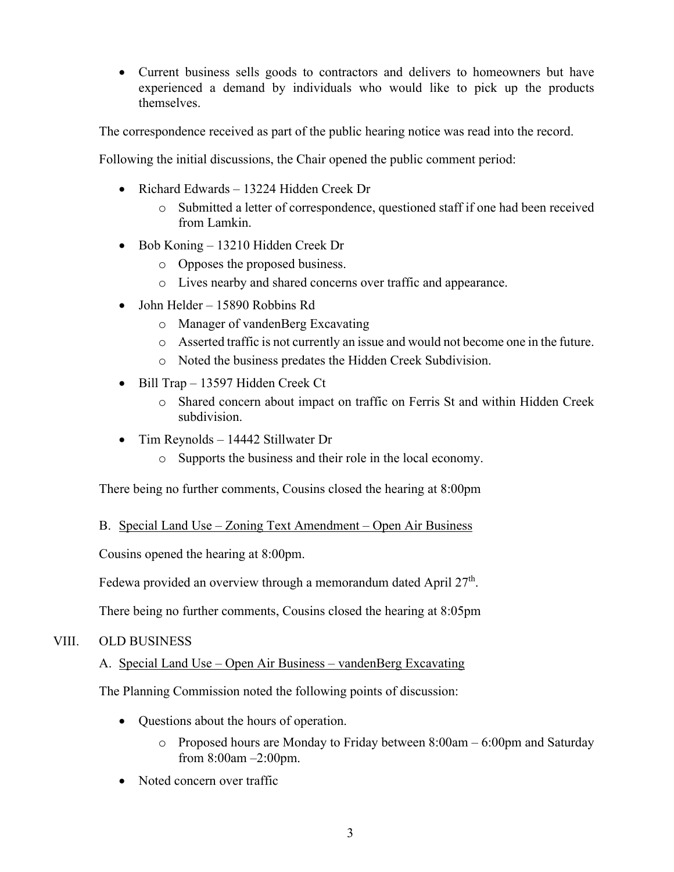• Current business sells goods to contractors and delivers to homeowners but have experienced a demand by individuals who would like to pick up the products themselves.

The correspondence received as part of the public hearing notice was read into the record.

Following the initial discussions, the Chair opened the public comment period:

- Richard Edwards 13224 Hidden Creek Dr
	- o Submitted a letter of correspondence, questioned staff if one had been received from Lamkin.
- Bob Koning 13210 Hidden Creek Dr
	- o Opposes the proposed business.
	- o Lives nearby and shared concerns over traffic and appearance.
- John Helder 15890 Robbins Rd
	- o Manager of vandenBerg Excavating
	- o Asserted traffic is not currently an issue and would not become one in the future.
	- o Noted the business predates the Hidden Creek Subdivision.
- Bill Trap 13597 Hidden Creek Ct
	- o Shared concern about impact on traffic on Ferris St and within Hidden Creek subdivision.
- Tim Reynolds 14442 Stillwater Dr
	- o Supports the business and their role in the local economy.

There being no further comments, Cousins closed the hearing at 8:00pm

## B. Special Land Use – Zoning Text Amendment – Open Air Business

Cousins opened the hearing at 8:00pm.

Fedewa provided an overview through a memorandum dated April  $27<sup>th</sup>$ .

There being no further comments, Cousins closed the hearing at 8:05pm

## VIII. OLD BUSINESS

# A. Special Land Use – Open Air Business – vandenBerg Excavating

The Planning Commission noted the following points of discussion:

- Questions about the hours of operation.
	- o Proposed hours are Monday to Friday between 8:00am 6:00pm and Saturday from 8:00am –2:00pm.
- Noted concern over traffic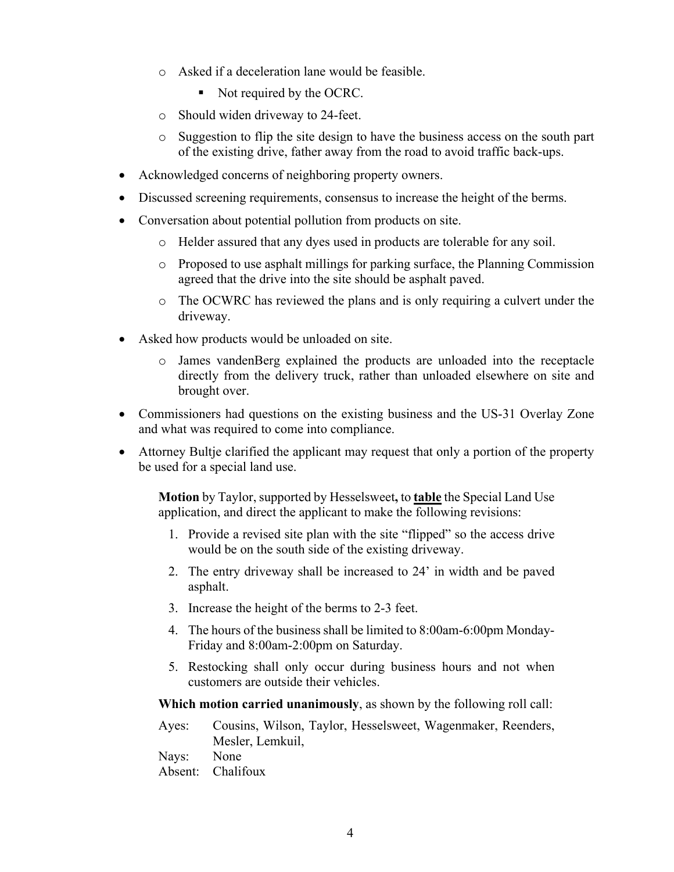- o Asked if a deceleration lane would be feasible.
	- Not required by the OCRC.
- o Should widen driveway to 24-feet.
- o Suggestion to flip the site design to have the business access on the south part of the existing drive, father away from the road to avoid traffic back-ups.
- Acknowledged concerns of neighboring property owners.
- Discussed screening requirements, consensus to increase the height of the berms.
- Conversation about potential pollution from products on site.
	- o Helder assured that any dyes used in products are tolerable for any soil.
	- o Proposed to use asphalt millings for parking surface, the Planning Commission agreed that the drive into the site should be asphalt paved.
	- o The OCWRC has reviewed the plans and is only requiring a culvert under the driveway.
- Asked how products would be unloaded on site.
	- o James vandenBerg explained the products are unloaded into the receptacle directly from the delivery truck, rather than unloaded elsewhere on site and brought over.
- Commissioners had questions on the existing business and the US-31 Overlay Zone and what was required to come into compliance.
- Attorney Bultje clarified the applicant may request that only a portion of the property be used for a special land use.

**Motion** by Taylor, supported by Hesselsweet**,** to **table** the Special Land Use application, and direct the applicant to make the following revisions:

- 1. Provide a revised site plan with the site "flipped" so the access drive would be on the south side of the existing driveway.
- 2. The entry driveway shall be increased to 24' in width and be paved asphalt.
- 3. Increase the height of the berms to 2-3 feet.
- 4. The hours of the business shall be limited to 8:00am-6:00pm Monday-Friday and 8:00am-2:00pm on Saturday.
- 5. Restocking shall only occur during business hours and not when customers are outside their vehicles.

**Which motion carried unanimously**, as shown by the following roll call:

Ayes: Cousins, Wilson, Taylor, Hesselsweet, Wagenmaker, Reenders, Mesler, Lemkuil,

Nays: None

Absent: Chalifoux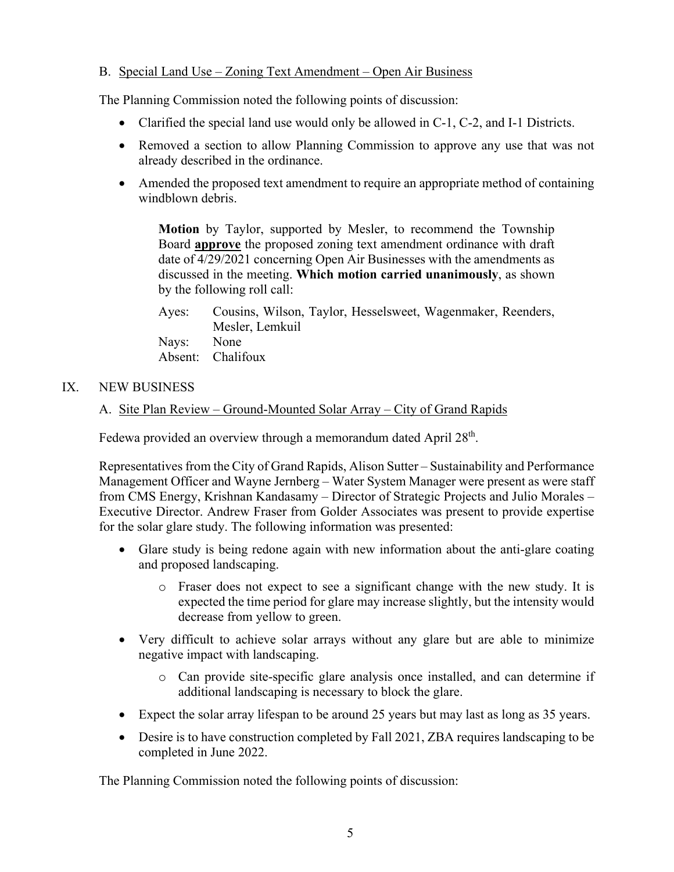## B. Special Land Use – Zoning Text Amendment – Open Air Business

The Planning Commission noted the following points of discussion:

- Clarified the special land use would only be allowed in  $C-1$ ,  $C-2$ , and I-1 Districts.
- Removed a section to allow Planning Commission to approve any use that was not already described in the ordinance.
- Amended the proposed text amendment to require an appropriate method of containing windblown debris.

**Motion** by Taylor, supported by Mesler, to recommend the Township Board **approve** the proposed zoning text amendment ordinance with draft date of 4/29/2021 concerning Open Air Businesses with the amendments as discussed in the meeting. **Which motion carried unanimously**, as shown by the following roll call:

Ayes: Cousins, Wilson, Taylor, Hesselsweet, Wagenmaker, Reenders, Mesler, Lemkuil Nays: None Absent: Chalifoux

## IX. NEW BUSINESS

### A. Site Plan Review – Ground-Mounted Solar Array – City of Grand Rapids

Fedewa provided an overview through a memorandum dated April 28<sup>th</sup>.

Representatives from the City of Grand Rapids, Alison Sutter – Sustainability and Performance Management Officer and Wayne Jernberg – Water System Manager were present as were staff from CMS Energy, Krishnan Kandasamy – Director of Strategic Projects and Julio Morales – Executive Director. Andrew Fraser from Golder Associates was present to provide expertise for the solar glare study. The following information was presented:

- Glare study is being redone again with new information about the anti-glare coating and proposed landscaping.
	- o Fraser does not expect to see a significant change with the new study. It is expected the time period for glare may increase slightly, but the intensity would decrease from yellow to green.
- Very difficult to achieve solar arrays without any glare but are able to minimize negative impact with landscaping.
	- o Can provide site-specific glare analysis once installed, and can determine if additional landscaping is necessary to block the glare.
- Expect the solar array lifespan to be around 25 years but may last as long as 35 years.
- Desire is to have construction completed by Fall 2021, ZBA requires landscaping to be completed in June 2022.

The Planning Commission noted the following points of discussion: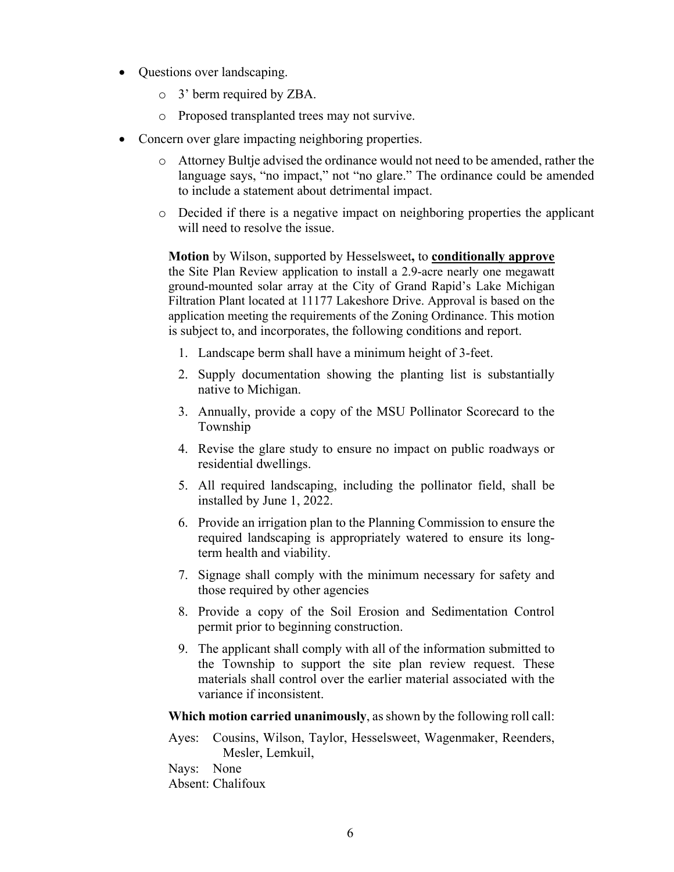- Questions over landscaping.
	- o 3' berm required by ZBA.
	- o Proposed transplanted trees may not survive.
- Concern over glare impacting neighboring properties.
	- o Attorney Bultje advised the ordinance would not need to be amended, rather the language says, "no impact," not "no glare." The ordinance could be amended to include a statement about detrimental impact.
	- o Decided if there is a negative impact on neighboring properties the applicant will need to resolve the issue.

**Motion** by Wilson, supported by Hesselsweet**,** to **conditionally approve** the Site Plan Review application to install a 2.9-acre nearly one megawatt ground-mounted solar array at the City of Grand Rapid's Lake Michigan Filtration Plant located at 11177 Lakeshore Drive. Approval is based on the application meeting the requirements of the Zoning Ordinance. This motion is subject to, and incorporates, the following conditions and report.

- 1. Landscape berm shall have a minimum height of 3-feet.
- 2. Supply documentation showing the planting list is substantially native to Michigan.
- 3. Annually, provide a copy of the MSU Pollinator Scorecard to the Township
- 4. Revise the glare study to ensure no impact on public roadways or residential dwellings.
- 5. All required landscaping, including the pollinator field, shall be installed by June 1, 2022.
- 6. Provide an irrigation plan to the Planning Commission to ensure the required landscaping is appropriately watered to ensure its longterm health and viability.
- 7. Signage shall comply with the minimum necessary for safety and those required by other agencies
- 8. Provide a copy of the Soil Erosion and Sedimentation Control permit prior to beginning construction.
- 9. The applicant shall comply with all of the information submitted to the Township to support the site plan review request. These materials shall control over the earlier material associated with the variance if inconsistent.

**Which motion carried unanimously**, as shown by the following roll call:

Ayes: Cousins, Wilson, Taylor, Hesselsweet, Wagenmaker, Reenders, Mesler, Lemkuil,

Nays: None Absent: Chalifoux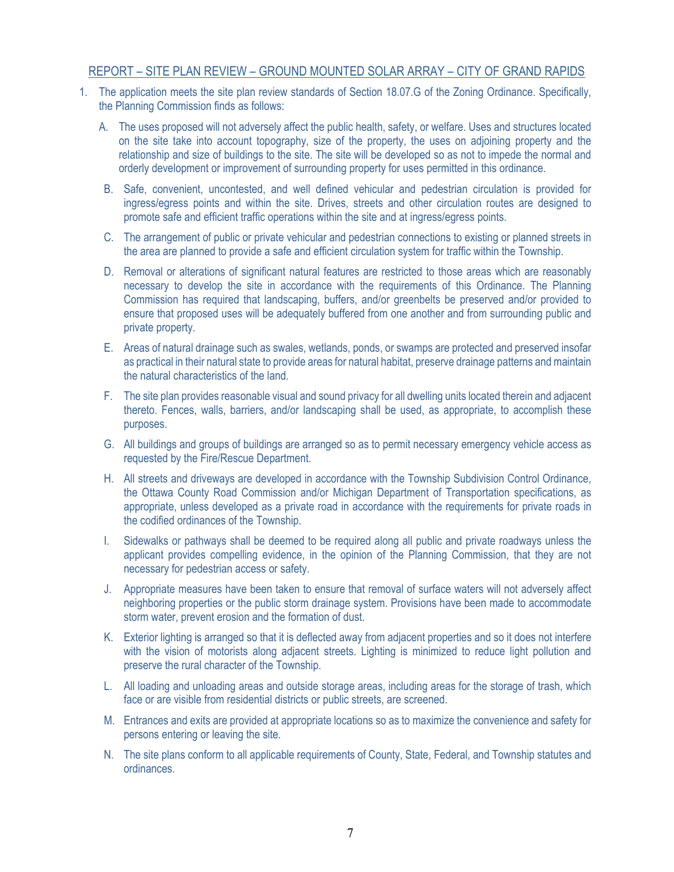#### REPORT – SITE PLAN REVIEW – GROUND MOUNTED SOLAR ARRAY – CITY OF GRAND RAPIDS

- 1. The application meets the site plan review standards of Section 18.07.G of the Zoning Ordinance. Specifically, the Planning Commission finds as follows:
	- A. The uses proposed will not adversely affect the public health, safety, or welfare. Uses and structures located on the site take into account topography, size of the property, the uses on adjoining property and the relationship and size of buildings to the site. The site will be developed so as not to impede the normal and orderly development or improvement of surrounding property for uses permitted in this ordinance.
	- B. Safe, convenient, uncontested, and well defined vehicular and pedestrian circulation is provided for ingress/egress points and within the site. Drives, streets and other circulation routes are designed to promote safe and efficient traffic operations within the site and at ingress/egress points.
	- C. The arrangement of public or private vehicular and pedestrian connections to existing or planned streets in the area are planned to provide a safe and efficient circulation system for traffic within the Township.
	- D. Removal or alterations of significant natural features are restricted to those areas which are reasonably necessary to develop the site in accordance with the requirements of this Ordinance. The Planning Commission has required that landscaping, buffers, and/or greenbelts be preserved and/or provided to ensure that proposed uses will be adequately buffered from one another and from surrounding public and private property.
	- E. Areas of natural drainage such as swales, wetlands, ponds, or swamps are protected and preserved insofar as practical in their natural state to provide areas for natural habitat, preserve drainage patterns and maintain the natural characteristics of the land.
	- F. The site plan provides reasonable visual and sound privacy for all dwelling units located therein and adjacent thereto. Fences, walls, barriers, and/or landscaping shall be used, as appropriate, to accomplish these purposes.
	- G. All buildings and groups of buildings are arranged so as to permit necessary emergency vehicle access as requested by the Fire/Rescue Department.
	- H. All streets and driveways are developed in accordance with the Township Subdivision Control Ordinance, the Ottawa County Road Commission and/or Michigan Department of Transportation specifications, as appropriate, unless developed as a private road in accordance with the requirements for private roads in the codified ordinances of the Township.
	- I. Sidewalks or pathways shall be deemed to be required along all public and private roadways unless the applicant provides compelling evidence, in the opinion of the Planning Commission, that they are not necessary for pedestrian access or safety.
	- J. Appropriate measures have been taken to ensure that removal of surface waters will not adversely affect neighboring properties or the public storm drainage system. Provisions have been made to accommodate storm water, prevent erosion and the formation of dust.
	- K. Exterior lighting is arranged so that it is deflected away from adjacent properties and so it does not interfere with the vision of motorists along adjacent streets. Lighting is minimized to reduce light pollution and preserve the rural character of the Township.
	- L. All loading and unloading areas and outside storage areas, including areas for the storage of trash, which face or are visible from residential districts or public streets, are screened.
	- M. Entrances and exits are provided at appropriate locations so as to maximize the convenience and safety for persons entering or leaving the site.
	- N. The site plans conform to all applicable requirements of County, State, Federal, and Township statutes and ordinances.